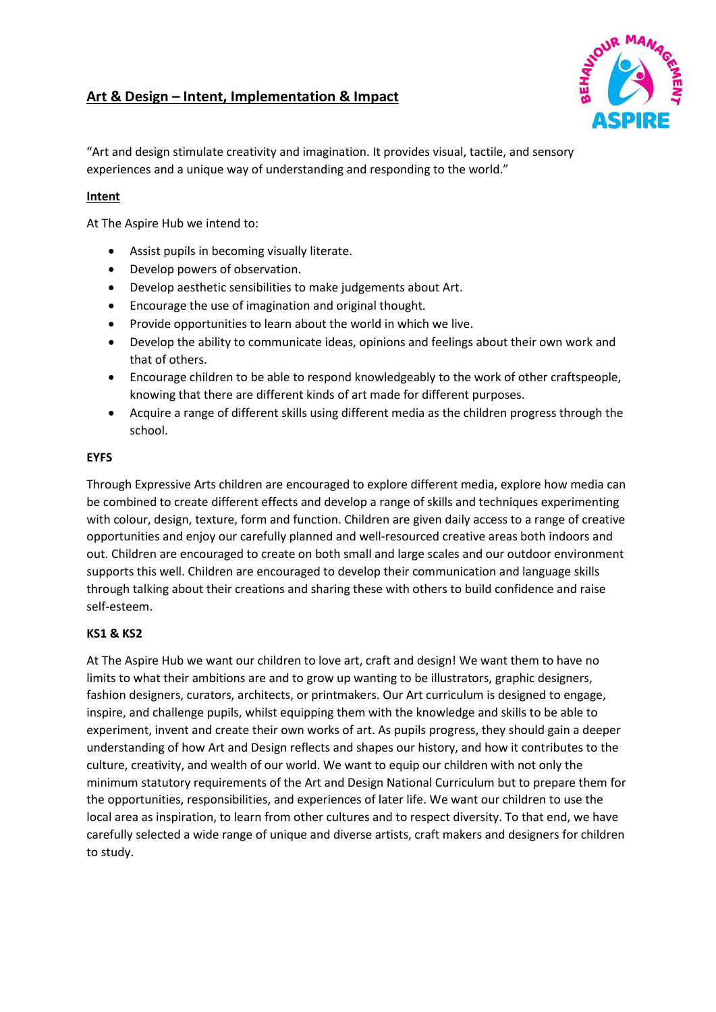# **Art & Design – Intent, Implementation & Impact**



"Art and design stimulate creativity and imagination. It provides visual, tactile, and sensory experiences and a unique way of understanding and responding to the world."

## **Intent**

At The Aspire Hub we intend to:

- Assist pupils in becoming visually literate.
- Develop powers of observation.
- Develop aesthetic sensibilities to make judgements about Art.
- Encourage the use of imagination and original thought.
- Provide opportunities to learn about the world in which we live.
- Develop the ability to communicate ideas, opinions and feelings about their own work and that of others.
- Encourage children to be able to respond knowledgeably to the work of other craftspeople, knowing that there are different kinds of art made for different purposes.
- Acquire a range of different skills using different media as the children progress through the school.

#### **EYFS**

Through Expressive Arts children are encouraged to explore different media, explore how media can be combined to create different effects and develop a range of skills and techniques experimenting with colour, design, texture, form and function. Children are given daily access to a range of creative opportunities and enjoy our carefully planned and well-resourced creative areas both indoors and out. Children are encouraged to create on both small and large scales and our outdoor environment supports this well. Children are encouraged to develop their communication and language skills through talking about their creations and sharing these with others to build confidence and raise self-esteem.

### **KS1 & KS2**

At The Aspire Hub we want our children to love art, craft and design! We want them to have no limits to what their ambitions are and to grow up wanting to be illustrators, graphic designers, fashion designers, curators, architects, or printmakers. Our Art curriculum is designed to engage, inspire, and challenge pupils, whilst equipping them with the knowledge and skills to be able to experiment, invent and create their own works of art. As pupils progress, they should gain a deeper understanding of how Art and Design reflects and shapes our history, and how it contributes to the culture, creativity, and wealth of our world. We want to equip our children with not only the minimum statutory requirements of the Art and Design National Curriculum but to prepare them for the opportunities, responsibilities, and experiences of later life. We want our children to use the local area as inspiration, to learn from other cultures and to respect diversity. To that end, we have carefully selected a wide range of unique and diverse artists, craft makers and designers for children to study.